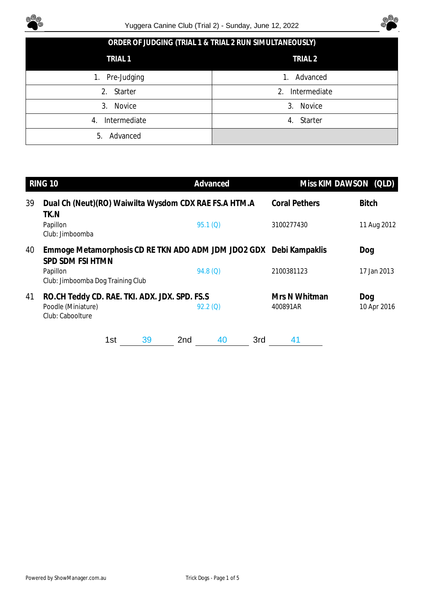



|  | ORDER OF JUDGING (TRIAL 1 & TRIAL 2 RUN SIMULTANEOUSLY) |
|--|---------------------------------------------------------|
|--|---------------------------------------------------------|

| TRIAL 1            | TRIAL <sub>2</sub> |
|--------------------|--------------------|
| Pre-Judging<br>1.  | Advanced<br>1.     |
| 2. Starter         | Intermediate<br>2. |
| Novice<br>3.       | Novice<br>3.       |
| Intermediate<br>4. | Starter<br>4.      |
| Advanced<br>5.     |                    |

|    | RING 10                                                                                 |     |    |                 | Advanced   |     | Miss KIM DAWSON (QLD)     |                    |
|----|-----------------------------------------------------------------------------------------|-----|----|-----------------|------------|-----|---------------------------|--------------------|
| 39 | Dual Ch (Neut)(RO) Waiwilta Wysdom CDX RAE FS.A HTM.A<br>TK.N                           |     |    |                 |            |     | <b>Coral Pethers</b>      | <b>Bitch</b>       |
|    | Papillon<br>Club: Jimboomba                                                             |     |    |                 | 95.1(0)    |     | 3100277430                | 11 Aug 2012        |
| 40 | Emmoge Metamorphosis CD RE TKN ADO ADM JDM JDO2 GDX Debi Kampaklis<br>SPD SDM FSI HTMN  |     |    |                 |            |     |                           | Dog                |
|    | Papillon<br>Club: Jimboomba Dog Training Club                                           |     |    |                 | 94.8(Q)    |     | 2100381123                | 17 Jan 2013        |
| 41 | RO.CH Teddy CD. RAE. TKI. ADX. JDX. SPD. FS.S<br>Poodle (Miniature)<br>Club: Caboolture |     |    |                 | $92.2$ (Q) |     | Mrs N Whitman<br>400891AR | Dog<br>10 Apr 2016 |
|    |                                                                                         | 1st | 39 | 2 <sub>nd</sub> | 40         | 3rd | 41                        |                    |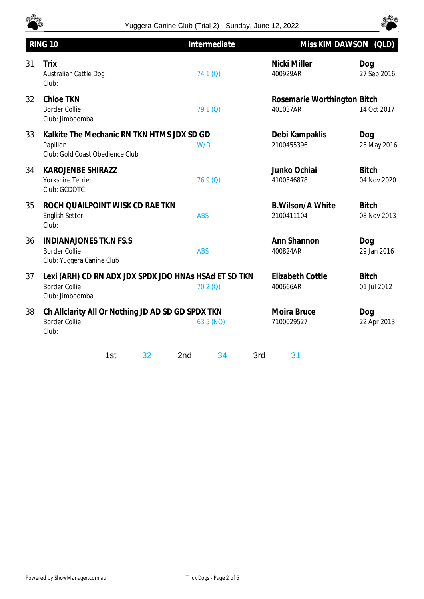



|    | RING 10                                                                                          | Intermediate          | Miss KIM DAWSON (QLD)                   |                             |
|----|--------------------------------------------------------------------------------------------------|-----------------------|-----------------------------------------|-----------------------------|
| 31 | Trix<br>Australian Cattle Dog<br>Club:                                                           | 74.1(0)               | Nicki Miller<br>400929AR                | Dog<br>27 Sep 2016          |
| 32 | <b>Chloe TKN</b><br><b>Border Collie</b><br>Club: Jimboomba                                      | 79.1(0)               | Rosemarie Worthington Bitch<br>401037AR | 14 Oct 2017                 |
| 33 | Kalkite The Mechanic RN TKN HTMS JDX SD GD<br>Papillon<br>Club: Gold Coast Obedience Club        | W/D                   | Debi Kampaklis<br>2100455396            | Dog<br>25 May 2016          |
| 34 | <b>KAROJENBE SHIRAZZ</b><br>Yorkshire Terrier<br>Club: GCDOTC                                    | 76.9 (Q)              | Junko Ochiai<br>4100346878              | <b>Bitch</b><br>04 Nov 2020 |
| 35 | ROCH QUAILPOINT WISK CD RAE TKN<br><b>English Setter</b><br>Club:                                | <b>ABS</b>            | <b>B.Wilson/A White</b><br>2100411104   | <b>Bitch</b><br>08 Nov 2013 |
| 36 | <b>INDIANAJONES TK.N FS.S</b><br><b>Border Collie</b><br>Club: Yuggera Canine Club               | <b>ABS</b>            | Ann Shannon<br>400824AR                 | Dog<br>29 Jan 2016          |
| 37 | Lexi (ARH) CD RN ADX JDX SPDX JDO HNAS HSAd ET SD TKN<br><b>Border Collie</b><br>Club: Jimboomba | 70.2(Q)               | <b>Elizabeth Cottle</b><br>400666AR     | <b>Bitch</b><br>01 Jul 2012 |
| 38 | Ch Allclarity All Or Nothing JD AD SD GD SPDX TKN<br><b>Border Collie</b><br>Club:               | 63.5 (NQ)             | Moira Bruce<br>7100029527               | Dog<br>22 Apr 2013          |
|    | 32<br>1st                                                                                        | 2 <sub>nd</sub><br>34 | 3rd<br>31                               |                             |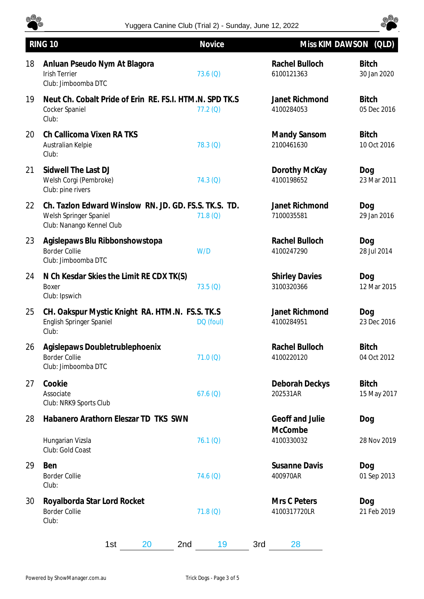

## Yuggera Canine Club (Trial 2) - Sunday, June 12, 2022



|    | <b>RING 10</b>                                                                                               | Novice     | Miss KIM DAWSON (QLD)               |                             |
|----|--------------------------------------------------------------------------------------------------------------|------------|-------------------------------------|-----------------------------|
| 18 | Anluan Pseudo Nym At Blagora<br><b>Irish Terrier</b><br>Club: Jimboomba DTC                                  | 73.6(Q)    | Rachel Bulloch<br>6100121363        | <b>Bitch</b><br>30 Jan 2020 |
| 19 | Neut Ch. Cobalt Pride of Erin RE. FS.I. HTM.N. SPD TK.S<br>Cocker Spaniel<br>Club:                           | $77.2$ (Q) | Janet Richmond<br>4100284053        | <b>Bitch</b><br>05 Dec 2016 |
| 20 | Ch Callicoma Vixen RA TKS<br>Australian Kelpie<br>Club:                                                      | $78.3$ (Q) | Mandy Sansom<br>2100461630          | <b>Bitch</b><br>10 Oct 2016 |
| 21 | Sidwell The Last DJ<br>Welsh Corgi (Pembroke)<br>Club: pine rivers                                           | $74.3$ (Q) | Dorothy McKay<br>4100198652         | Dog<br>23 Mar 2011          |
| 22 | Ch. Tazlon Edward Winslow RN, JD, GD, FS.S. TK.S. TD.<br>Welsh Springer Spaniel<br>Club: Nanango Kennel Club | 71.8(Q)    | Janet Richmond<br>7100035581        | Dog<br>29 Jan 2016          |
| 23 | Agislepaws Blu Ribbonshowstopa<br><b>Border Collie</b><br>Club: Jimboomba DTC                                | W/D        | Rachel Bulloch<br>4100247290        | Dog<br>28 Jul 2014          |
| 24 | N Ch Kesdar Skies the Limit RE CDX TK(S)<br>Boxer<br>Club: Ipswich                                           | $73.5$ (Q) | <b>Shirley Davies</b><br>3100320366 | Dog<br>12 Mar 2015          |
| 25 | CH. Oakspur Mystic Knight RA. HTM.N. FS.S. TK.S<br><b>English Springer Spaniel</b><br>Club:                  | DQ (foul)  | Janet Richmond<br>4100284951        | Dog<br>23 Dec 2016          |
| 26 | Agislepaws Doubletrublephoenix<br><b>Border Collie</b><br>Club: Jimboomba DTC                                | 71.0(Q)    | Rachel Bulloch<br>4100220120        | <b>Bitch</b><br>04 Oct 2012 |
| 27 | Cookie<br>Associate<br>Club: NRK9 Sports Club                                                                | 67.6(Q)    | Deborah Deckys<br>202531AR          | <b>Bitch</b><br>15 May 2017 |
| 28 | Habanero Arathorn Eleszar TD TKS SWN                                                                         |            | Geoff and Julie                     | Dog                         |
|    | Hungarian Vizsla<br>Club: Gold Coast                                                                         | 76.1 (Q)   | McCombe<br>4100330032               | 28 Nov 2019                 |
| 29 | Ben<br><b>Border Collie</b><br>Club:                                                                         | 74.6(Q)    | <b>Susanne Davis</b><br>400970AR    | Dog<br>01 Sep 2013          |
| 30 | Royalborda Star Lord Rocket<br><b>Border Collie</b><br>Club:                                                 | 71.8(Q)    | Mrs C Peters<br>4100317720LR        | Dog<br>21 Feb 2019          |
|    | 1st<br>20<br>2nd                                                                                             | 19<br>3rd  | 28                                  |                             |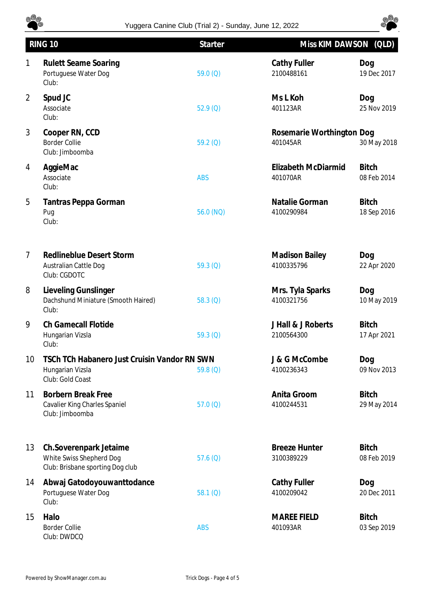

## Yuggera Canine Club (Trial 2) - Sunday, June 12, 2022



|                | <b>RING 10</b>                                                                         | <b>Starter</b> | Miss KIM DAWSON (QLD)                 |                             |
|----------------|----------------------------------------------------------------------------------------|----------------|---------------------------------------|-----------------------------|
| 1              | <b>Rulett Seame Soaring</b><br>Portuguese Water Dog<br>Club:                           | 59.0 $(Q)$     | Cathy Fuller<br>2100488161            | Dog<br>19 Dec 2017          |
| $\overline{2}$ | Spud JC<br>Associate<br>Club:                                                          | 52.9(Q)        | Ms L Koh<br>401123AR                  | Dog<br>25 Nov 2019          |
| 3              | Cooper RN, CCD<br><b>Border Collie</b><br>Club: Jimboomba                              | $59.2$ (Q)     | Rosemarie Worthington Dog<br>401045AR | 30 May 2018                 |
| 4              | AggieMac<br>Associate<br>Club:                                                         | <b>ABS</b>     | Elizabeth McDiarmid<br>401070AR       | <b>Bitch</b><br>08 Feb 2014 |
| 5              | Tantras Peppa Gorman<br>Pug<br>Club:                                                   | 56.0 (NQ)      | Natalie Gorman<br>4100290984          | <b>Bitch</b><br>18 Sep 2016 |
| $\overline{7}$ | <b>Redlineblue Desert Storm</b><br>Australian Cattle Dog<br>Club: CGDOTC               | 59.3 $(Q)$     | <b>Madison Bailey</b><br>4100335796   | Dog<br>22 Apr 2020          |
| 8              | Lieveling Gunslinger<br>Dachshund Miniature (Smooth Haired)<br>Club:                   | 58.3(0)        | Mrs. Tyla Sparks<br>4100321756        | Dog<br>10 May 2019          |
| 9              | <b>Ch Gamecall Flotide</b><br>Hungarian Vizsla<br>Club:                                | 59.3 $(Q)$     | J Hall & J Roberts<br>2100564300      | <b>Bitch</b><br>17 Apr 2021 |
| 10             | TSCh TCh Habanero Just Cruisin Vandor RN SWN<br>Hungarian Vizsla<br>Club: Gold Coast   | 59.8 $(Q)$     | J & G McCombe<br>4100236343           | Dog<br>09 Nov 2013          |
| 11             | <b>Borbern Break Free</b><br>Cavalier King Charles Spaniel<br>Club: Jimboomba          | 57.0(Q)        | Anita Groom<br>4100244531             | <b>Bitch</b><br>29 May 2014 |
| 13             | Ch.Soverenpark Jetaime<br>White Swiss Shepherd Dog<br>Club: Brisbane sporting Dog club | 57.6 $(Q)$     | <b>Breeze Hunter</b><br>3100389229    | <b>Bitch</b><br>08 Feb 2019 |
| 14             | Abwaj Gatodoyouwanttodance<br>Portuguese Water Dog<br>Club:                            | 58.1(0)        | Cathy Fuller<br>4100209042            | Dog<br>20 Dec 2011          |
| 15             | Halo<br><b>Border Collie</b><br>Club: DWDCQ                                            | <b>ABS</b>     | <b>MAREE FIELD</b><br>401093AR        | <b>Bitch</b><br>03 Sep 2019 |